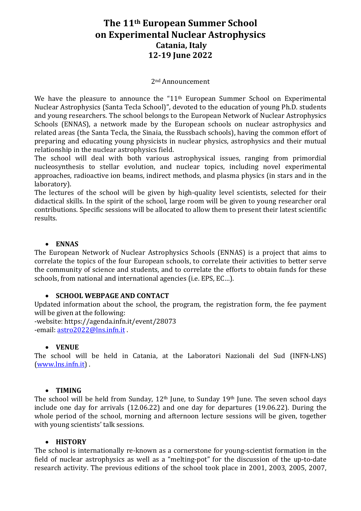# **The 11th European Summer School on Experimental Nuclear Astrophysics Catania, Italy 12‐19 June 2022**

#### 2nd Announcement

We have the pleasure to announce the "11<sup>th</sup> European Summer School on Experimental Nuclear Astrophysics (Santa Tecla School)", devoted to the education of young Ph.D. students and young researchers. The school belongs to the European Network of Nuclear Astrophysics Schools (ENNAS), a network made by the European schools on nuclear astrophysics and related areas (the Santa Tecla, the Sinaia, the Russbach schools), having the common effort of preparing and educating young physicists in nuclear physics, astrophysics and their mutual relationship in the nuclear astrophysics field.

The school will deal with both various astrophysical issues, ranging from primordial nucleosynthesis to stellar evolution, and nuclear topics, including novel experimental approaches, radioactive ion beams, indirect methods, and plasma physics (in stars and in the laboratory).

The lectures of the school will be given by high-quality level scientists, selected for their didactical skills. In the spirit of the school, large room will be given to young researcher oral contributions. Specific sessions will be allocated to allow them to present their latest scientific results.

#### **ENNAS**

The European Network of Nuclear Astrophysics Schools (ENNAS) is a project that aims to correlate the topics of the four European schools, to correlate their activities to better serve the community of science and students, and to correlate the efforts to obtain funds for these schools, from national and international agencies (i.e. EPS, EC…).

# **SCHOOL WEBPAGE AND CONTACT**

Updated information about the school, the program, the registration form, the fee payment will be given at the following:

-website: https://agenda.infn.it/event/28073 -email: astro2022@lns.infn.it

#### **VENUE**

The school will be held in Catania, at the Laboratori Nazionali del Sud (INFN-LNS) (www.lns.infn.it) .

#### **TIMING**

The school will be held from Sunday, 12<sup>th</sup> June, to Sunday 19<sup>th</sup> June. The seven school days include one day for arrivals (12.06.22) and one day for departures (19.06.22). During the whole period of the school, morning and afternoon lecture sessions will be given, together with young scientists' talk sessions.

#### **HISTORY**

The school is internationally re-known as a cornerstone for young-scientist formation in the field of nuclear astrophysics as well as a "melting-pot" for the discussion of the up-to-date research activity. The previous editions of the school took place in 2001, 2003, 2005, 2007,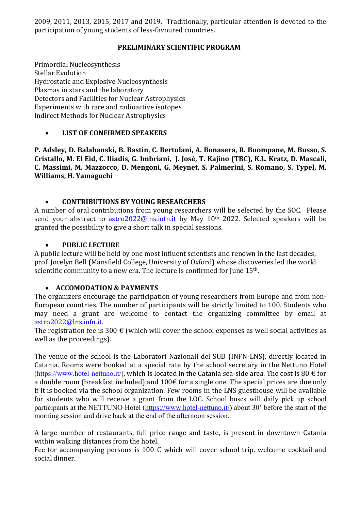2009, 2011, 2013, 2015, 2017 and 2019. Traditionally, particular attention is devoted to the participation of young students of less-favoured countries.

# **PRELIMINARY SCIENTIFIC PROGRAM**

Primordial Nucleosynthesis Stellar Evolution Hydrostatic and Explosive Nucleosynthesis Plasmas in stars and the laboratory Detectors and Facilities for Nuclear Astrophysics Experiments with rare and radioactive isotopes Indirect Methods for Nuclear Astrophysics

# **LIST OF CONFIRMED SPEAKERS**

**P. Adsley, D. Balabanski, B. Bastin, C. Bertulani, A. Bonasera, R. Buompane, M. Busso, S. Cristallo, M. El Eid, C. Iliadis, G. Imbriani, J. Josè, T. Kajino (TBC), K.L. Kratz, D. Mascali, C. Massimi, M. Mazzocco, D. Mengoni, G. Meynet, S. Palmerini, S. Romano, S. Typel, M. Williams, H. Yamaguchi**

# **CONTRIBUTIONS BY YOUNG RESEARCHERS**

A number of oral contributions from young researchers will be selected by the SOC. Please send your abstract to astro2022@lns.infn.it by May 10<sup>th</sup> 2022. Selected speakers will be granted the possibility to give a short talk in special sessions.

# **PUBLIC LECTURE**

A public lecture will be held by one most influent scientists and renown in the last decades, prof. Jocelyn Bell **(**Mansfield College, University of Oxford**)** whose discoveries led the world scientific community to a new era. The lecture is confirmed for June 15<sup>th</sup>.

# **ACCOMODATION & PAYMENTS**

The organizers encourage the participation of young researchers from Europe and from non-European countries. The number of participants will be strictly limited to 100. Students who may need a grant are welcome to contact the organizing committee by email at astro2022@lns.infn.it.

The registration fee is 300  $\epsilon$  (which will cover the school expenses as well social activities as well as the proceedings).

The venue of the school is the Laboratori Nazionali del SUD (INFN-LNS), directly located in Catania. Rooms were booked at a special rate by the school secretary in the Nettuno Hotel (https://www.hotel-nettuno.it/), which is located in the Catania sea-side area. The cost is 80  $\in$  for a double room (breakfast included) and  $100 \text{E}$  for a single one. The special prices are due only if it is booked via the school organization. Few rooms in the LNS guesthouse will be available for students who will receive a grant from the LOC. School buses will daily pick up school participants at the NETTUNO Hotel (https://www.hotel-nettuno.it/) about 30' before the start of the morning session and drive back at the end of the afternoon session.

A large number of restaurants, full price range and taste, is present in downtown Catania within walking distances from the hotel.

Fee for accompanying persons is 100  $\epsilon$  which will cover school trip, welcome cocktail and social dinner.